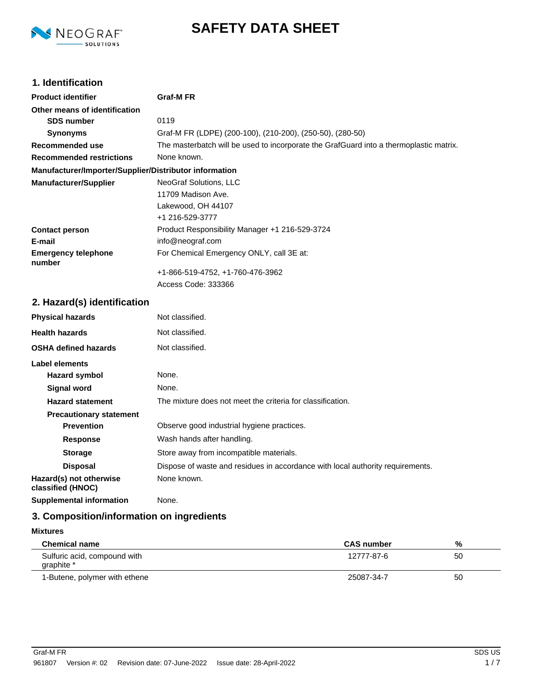

# **SAFETY DATA SHEET**

# **1. Identification**

| <b>Product identifier</b>                              | <b>Graf-MFR</b>                                                                        |
|--------------------------------------------------------|----------------------------------------------------------------------------------------|
| Other means of identification                          |                                                                                        |
| <b>SDS number</b>                                      | 0119                                                                                   |
| <b>Synonyms</b>                                        | Graf-M FR (LDPE) (200-100), (210-200), (250-50), (280-50)                              |
| <b>Recommended use</b>                                 | The masterbatch will be used to incorporate the GrafGuard into a thermoplastic matrix. |
| <b>Recommended restrictions</b>                        | None known.                                                                            |
| Manufacturer/Importer/Supplier/Distributor information |                                                                                        |
| <b>Manufacturer/Supplier</b>                           | NeoGraf Solutions, LLC                                                                 |
|                                                        | 11709 Madison Ave.                                                                     |
|                                                        | Lakewood, OH 44107                                                                     |
|                                                        | +1 216-529-3777                                                                        |
| <b>Contact person</b>                                  | Product Responsibility Manager +1 216-529-3724                                         |
| E-mail                                                 | info@neograf.com                                                                       |
| <b>Emergency telephone</b><br>number                   | For Chemical Emergency ONLY, call 3E at:                                               |
|                                                        | +1-866-519-4752, +1-760-476-3962                                                       |
|                                                        | Access Code: 333366                                                                    |
| 2. Hazard(s) identification                            |                                                                                        |
| <b>Physical hazards</b>                                | Not classified.                                                                        |
| <b>Health hazards</b>                                  | Not classified.                                                                        |
| <b>OSHA defined hazards</b>                            | Not classified.                                                                        |
| Label elements                                         |                                                                                        |
| <b>Hazard symbol</b>                                   | None.                                                                                  |
| <b>Signal word</b>                                     | None.                                                                                  |
| <b>Hazard statement</b>                                | The mixture does not meet the criteria for classification.                             |
| <b>Precautionary statement</b>                         |                                                                                        |
| <b>Prevention</b>                                      | Observe good industrial hygiene practices.                                             |
| <b>Response</b>                                        | Wash hands after handling.                                                             |
| <b>Storage</b>                                         | Store away from incompatible materials.                                                |
| <b>Disposal</b>                                        | Dispose of waste and residues in accordance with local authority requirements.         |

**Hazard(s) not otherwise classified (HNOC) Supplemental information** None.

None known.

# **3. Composition/information on ingredients**

## **Mixtures**

| <b>Chemical name</b>                       | <b>CAS number</b> | %  |
|--------------------------------------------|-------------------|----|
| Sulfuric acid, compound with<br>qraphite * | 12777-87-6        | 50 |
| 1-Butene, polymer with ethene              | 25087-34-7        | 50 |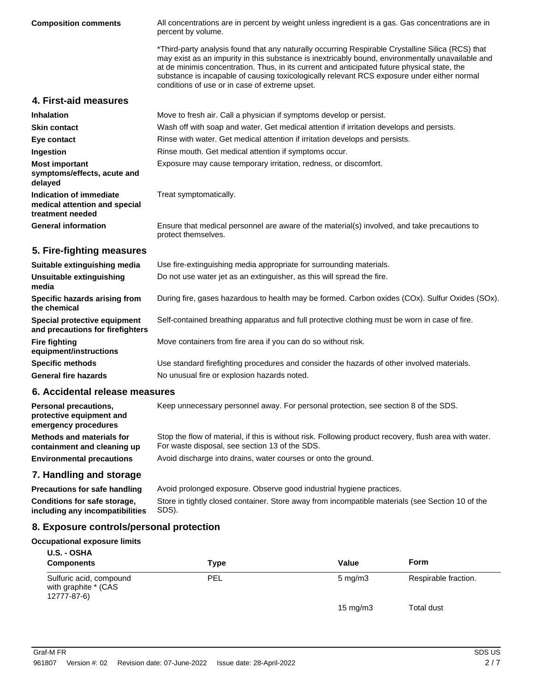| <b>Composition comments</b>                                                      | All concentrations are in percent by weight unless ingredient is a gas. Gas concentrations are in<br>percent by volume.                                                                                                                                                                                                                                                                                                                                 |
|----------------------------------------------------------------------------------|---------------------------------------------------------------------------------------------------------------------------------------------------------------------------------------------------------------------------------------------------------------------------------------------------------------------------------------------------------------------------------------------------------------------------------------------------------|
|                                                                                  | *Third-party analysis found that any naturally occurring Respirable Crystalline Silica (RCS) that<br>may exist as an impurity in this substance is inextricably bound, environmentally unavailable and<br>at de minimis concentration. Thus, in its current and anticipated future physical state, the<br>substance is incapable of causing toxicologically relevant RCS exposure under either normal<br>conditions of use or in case of extreme upset. |
| 4. First-aid measures                                                            |                                                                                                                                                                                                                                                                                                                                                                                                                                                         |
| <b>Inhalation</b>                                                                | Move to fresh air. Call a physician if symptoms develop or persist.                                                                                                                                                                                                                                                                                                                                                                                     |
| <b>Skin contact</b>                                                              | Wash off with soap and water. Get medical attention if irritation develops and persists.                                                                                                                                                                                                                                                                                                                                                                |
| Eye contact                                                                      | Rinse with water. Get medical attention if irritation develops and persists.                                                                                                                                                                                                                                                                                                                                                                            |
| Ingestion                                                                        | Rinse mouth. Get medical attention if symptoms occur.                                                                                                                                                                                                                                                                                                                                                                                                   |
| <b>Most important</b><br>symptoms/effects, acute and<br>delayed                  | Exposure may cause temporary irritation, redness, or discomfort.                                                                                                                                                                                                                                                                                                                                                                                        |
| Indication of immediate<br>medical attention and special<br>treatment needed     | Treat symptomatically.                                                                                                                                                                                                                                                                                                                                                                                                                                  |
| <b>General information</b>                                                       | Ensure that medical personnel are aware of the material(s) involved, and take precautions to<br>protect themselves.                                                                                                                                                                                                                                                                                                                                     |
| 5. Fire-fighting measures                                                        |                                                                                                                                                                                                                                                                                                                                                                                                                                                         |
| Suitable extinguishing media                                                     | Use fire-extinguishing media appropriate for surrounding materials.                                                                                                                                                                                                                                                                                                                                                                                     |
| Unsuitable extinguishing<br>media                                                | Do not use water jet as an extinguisher, as this will spread the fire.                                                                                                                                                                                                                                                                                                                                                                                  |
| Specific hazards arising from<br>the chemical                                    | During fire, gases hazardous to health may be formed. Carbon oxides (COx). Sulfur Oxides (SOx).                                                                                                                                                                                                                                                                                                                                                         |
| Special protective equipment<br>and precautions for firefighters                 | Self-contained breathing apparatus and full protective clothing must be worn in case of fire.                                                                                                                                                                                                                                                                                                                                                           |
| <b>Fire fighting</b><br>equipment/instructions                                   | Move containers from fire area if you can do so without risk.                                                                                                                                                                                                                                                                                                                                                                                           |
| <b>Specific methods</b>                                                          | Use standard firefighting procedures and consider the hazards of other involved materials.                                                                                                                                                                                                                                                                                                                                                              |
| <b>General fire hazards</b>                                                      | No unusual fire or explosion hazards noted.                                                                                                                                                                                                                                                                                                                                                                                                             |
| 6. Accidental release measures                                                   |                                                                                                                                                                                                                                                                                                                                                                                                                                                         |
| <b>Personal precautions,</b><br>protective equipment and<br>emergency procedures | Keep unnecessary personnel away. For personal protection, see section 8 of the SDS.                                                                                                                                                                                                                                                                                                                                                                     |
| <b>Methods and materials for</b><br>containment and cleaning up                  | Stop the flow of material, if this is without risk. Following product recovery, flush area with water.<br>For waste disposal, see section 13 of the SDS.                                                                                                                                                                                                                                                                                                |
| <b>Environmental precautions</b>                                                 | Avoid discharge into drains, water courses or onto the ground.                                                                                                                                                                                                                                                                                                                                                                                          |

**7. Handling and storage**

**Precautions for safe handling** Avoid prolonged exposure. Observe good industrial hygiene practices. Store in tightly closed container. Store away from incompatible materials (see Section 10 of the SDS). **Conditions for safe storage, including any incompatibilities**

# **8. Exposure controls/personal protection**

#### **Occupational exposure limits**

| <b>U.S. - OSHA</b><br><b>Components</b>                        | <b>Type</b> | Value            | <b>Form</b>          |
|----------------------------------------------------------------|-------------|------------------|----------------------|
| Sulfuric acid, compound<br>with graphite * (CAS<br>12777-87-6) | PEL         | $5 \text{ mg/m}$ | Respirable fraction. |
|                                                                |             | 15 mg/m $3$      | Total dust           |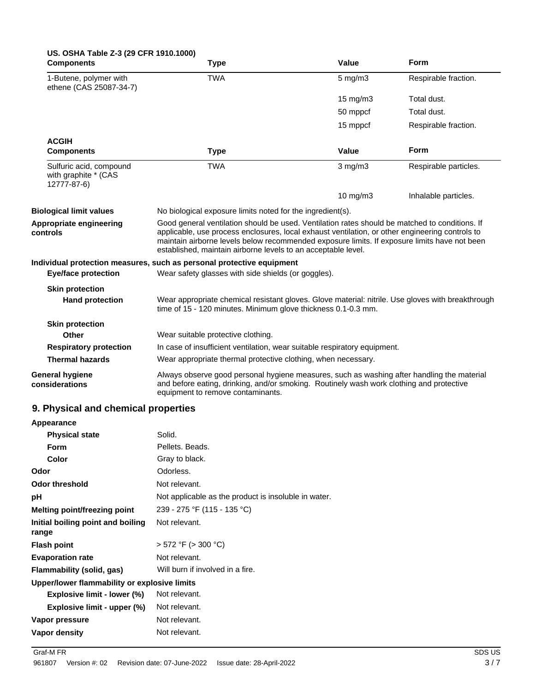| US. OSHA Table Z-3 (29 CFR 1910.1000)<br><b>Components</b>     | <b>Type</b>                                                                                                                                                                                                                                                                                                                                                        | Value             | Form                  |
|----------------------------------------------------------------|--------------------------------------------------------------------------------------------------------------------------------------------------------------------------------------------------------------------------------------------------------------------------------------------------------------------------------------------------------------------|-------------------|-----------------------|
| 1-Butene, polymer with<br>ethene (CAS 25087-34-7)              | <b>TWA</b>                                                                                                                                                                                                                                                                                                                                                         | $5$ mg/m $3$      | Respirable fraction.  |
|                                                                |                                                                                                                                                                                                                                                                                                                                                                    | $15 \text{ mg/m}$ | Total dust.           |
|                                                                |                                                                                                                                                                                                                                                                                                                                                                    | 50 mppcf          | Total dust.           |
|                                                                |                                                                                                                                                                                                                                                                                                                                                                    | 15 mppcf          | Respirable fraction.  |
| <b>ACGIH</b>                                                   |                                                                                                                                                                                                                                                                                                                                                                    |                   |                       |
| <b>Components</b>                                              | <b>Type</b>                                                                                                                                                                                                                                                                                                                                                        | Value             | <b>Form</b>           |
| Sulfuric acid, compound<br>with graphite * (CAS<br>12777-87-6) | <b>TWA</b>                                                                                                                                                                                                                                                                                                                                                         | $3$ mg/m $3$      | Respirable particles. |
|                                                                |                                                                                                                                                                                                                                                                                                                                                                    | $10 \text{ mg/m}$ | Inhalable particles.  |
| <b>Biological limit values</b>                                 | No biological exposure limits noted for the ingredient(s).                                                                                                                                                                                                                                                                                                         |                   |                       |
| Appropriate engineering<br>controls                            | Good general ventilation should be used. Ventilation rates should be matched to conditions. If<br>applicable, use process enclosures, local exhaust ventilation, or other engineering controls to<br>maintain airborne levels below recommended exposure limits. If exposure limits have not been<br>established, maintain airborne levels to an acceptable level. |                   |                       |
| <b>Eye/face protection</b>                                     | Individual protection measures, such as personal protective equipment<br>Wear safety glasses with side shields (or goggles).                                                                                                                                                                                                                                       |                   |                       |
| <b>Skin protection</b>                                         |                                                                                                                                                                                                                                                                                                                                                                    |                   |                       |
| <b>Hand protection</b>                                         | Wear appropriate chemical resistant gloves. Glove material: nitrile. Use gloves with breakthrough<br>time of 15 - 120 minutes. Minimum glove thickness 0.1-0.3 mm.                                                                                                                                                                                                 |                   |                       |
| <b>Skin protection</b>                                         |                                                                                                                                                                                                                                                                                                                                                                    |                   |                       |
| Other                                                          | Wear suitable protective clothing.                                                                                                                                                                                                                                                                                                                                 |                   |                       |
| <b>Respiratory protection</b>                                  | In case of insufficient ventilation, wear suitable respiratory equipment.                                                                                                                                                                                                                                                                                          |                   |                       |
| <b>Thermal hazards</b>                                         | Wear appropriate thermal protective clothing, when necessary.                                                                                                                                                                                                                                                                                                      |                   |                       |
| <b>General hygiene</b><br>considerations                       | Always observe good personal hygiene measures, such as washing after handling the material<br>and before eating, drinking, and/or smoking. Routinely wash work clothing and protective<br>equipment to remove contaminants.                                                                                                                                        |                   |                       |

# **9. Physical and chemical properties**

| Appearance                                   |                                                      |
|----------------------------------------------|------------------------------------------------------|
| <b>Physical state</b>                        | Solid.                                               |
| <b>Form</b>                                  | Pellets, Beads,                                      |
| Color                                        | Gray to black.                                       |
| Odor                                         | Odorless.                                            |
| <b>Odor threshold</b>                        | Not relevant.                                        |
| рH                                           | Not applicable as the product is insoluble in water. |
| Melting point/freezing point                 | 239 - 275 °F (115 - 135 °C)                          |
| Initial boiling point and boiling<br>range   | Not relevant.                                        |
| <b>Flash point</b>                           | $> 572$ °F ( $> 300$ °C)                             |
| <b>Evaporation rate</b>                      | Not relevant.                                        |
| Flammability (solid, gas)                    | Will burn if involved in a fire.                     |
| Upper/lower flammability or explosive limits |                                                      |
| Explosive limit - lower (%)                  | Not relevant.                                        |
| Explosive limit - upper (%)                  | Not relevant.                                        |
| Vapor pressure                               | Not relevant.                                        |
| Vapor density                                | Not relevant.                                        |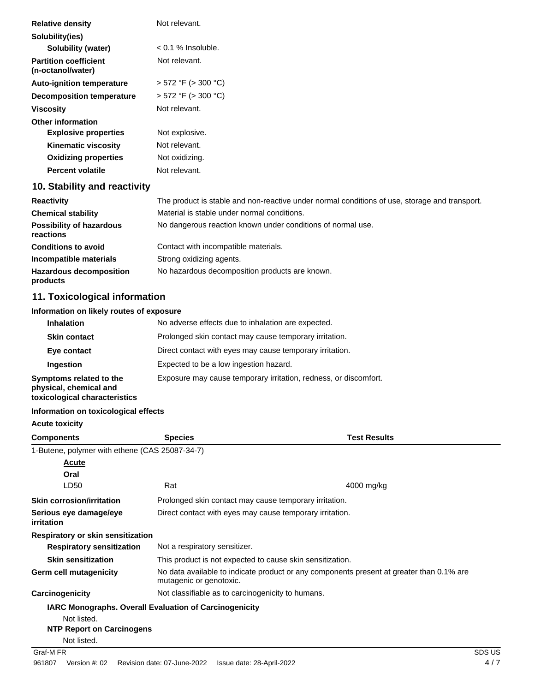| <b>Relative density</b>                           | Not relevant.                                                                                 |
|---------------------------------------------------|-----------------------------------------------------------------------------------------------|
| Solubility(ies)                                   |                                                                                               |
| Solubility (water)                                | $< 0.1$ % Insoluble.                                                                          |
| <b>Partition coefficient</b><br>(n-octanol/water) | Not relevant.                                                                                 |
| <b>Auto-ignition temperature</b>                  | $> 572$ °F ( $> 300$ °C)                                                                      |
| <b>Decomposition temperature</b>                  | $> 572$ °F ( $> 300$ °C)                                                                      |
| <b>Viscosity</b>                                  | Not relevant.                                                                                 |
| <b>Other information</b>                          |                                                                                               |
| <b>Explosive properties</b>                       | Not explosive.                                                                                |
| <b>Kinematic viscosity</b>                        | Not relevant.                                                                                 |
| <b>Oxidizing properties</b>                       | Not oxidizing.                                                                                |
| <b>Percent volatile</b>                           | Not relevant.                                                                                 |
| 10. Stability and reactivity                      |                                                                                               |
| <b>Reactivity</b>                                 | The product is stable and non-reactive under normal conditions of use, storage and transport. |
| <b>Chemical stability</b>                         | Material is stable under normal conditions.                                                   |
| Possibility of hazardous<br>reactions             | No dangerous reaction known under conditions of normal use.                                   |
| <b>Conditions to avoid</b>                        | Contact with incompatible materials.                                                          |
| Incompatible materials                            | Strong oxidizing agents.                                                                      |
| <b>Hazardous decomposition</b>                    | No hazardous decomposition products are known.                                                |

# **11. Toxicological information**

# **Information on likely routes of exposure**

| <b>Inhalation</b>                                                                  | No adverse effects due to inhalation are expected.               |  |
|------------------------------------------------------------------------------------|------------------------------------------------------------------|--|
| Prolonged skin contact may cause temporary irritation.<br><b>Skin contact</b>      |                                                                  |  |
| Eye contact                                                                        | Direct contact with eyes may cause temporary irritation.         |  |
| Expected to be a low ingestion hazard.<br>Ingestion                                |                                                                  |  |
| Symptoms related to the<br>physical, chemical and<br>toxicological characteristics | Exposure may cause temporary irritation, redness, or discomfort. |  |

#### **Information on toxicological effects**

#### **Acute toxicity**

**products**

| <b>Components</b>                              | <b>Species</b>                                                | <b>Test Results</b>                                                                      |
|------------------------------------------------|---------------------------------------------------------------|------------------------------------------------------------------------------------------|
| 1-Butene, polymer with ethene (CAS 25087-34-7) |                                                               |                                                                                          |
| Acute                                          |                                                               |                                                                                          |
| Oral                                           |                                                               |                                                                                          |
| LD50                                           | Rat                                                           | 4000 mg/kg                                                                               |
| <b>Skin corrosion/irritation</b>               | Prolonged skin contact may cause temporary irritation.        |                                                                                          |
| Serious eye damage/eye<br>irritation           | Direct contact with eyes may cause temporary irritation.      |                                                                                          |
| Respiratory or skin sensitization              |                                                               |                                                                                          |
| <b>Respiratory sensitization</b>               | Not a respiratory sensitizer.                                 |                                                                                          |
| <b>Skin sensitization</b>                      | This product is not expected to cause skin sensitization.     |                                                                                          |
| <b>Germ cell mutagenicity</b>                  | mutagenic or genotoxic.                                       | No data available to indicate product or any components present at greater than 0.1% are |
| Carcinogenicity                                | Not classifiable as to carcinogenicity to humans.             |                                                                                          |
|                                                | <b>IARC Monographs. Overall Evaluation of Carcinogenicity</b> |                                                                                          |
| Not listed.                                    |                                                               |                                                                                          |
| <b>NTP Report on Carcinogens</b>               |                                                               |                                                                                          |
| Not listed.                                    |                                                               |                                                                                          |
| Graf-M FR                                      |                                                               | SDS US                                                                                   |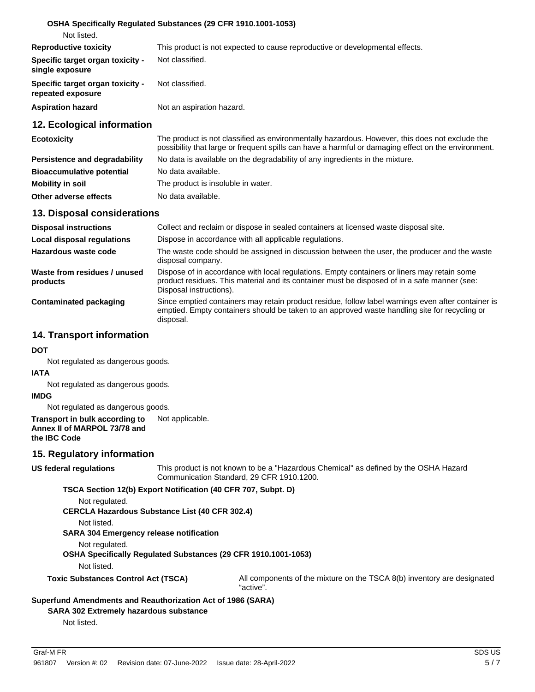|                                                       | <b>OSHA Specifically Requiated Substances (29 CFR 1910.1001-1053)</b>                          |
|-------------------------------------------------------|------------------------------------------------------------------------------------------------|
| Not listed.                                           |                                                                                                |
| <b>Reproductive toxicity</b>                          | This product is not expected to cause reproductive or developmental effects.                   |
| Specific target organ toxicity -<br>single exposure   | Not classified.                                                                                |
| Specific target organ toxicity -<br>repeated exposure | Not classified.                                                                                |
| <b>Aspiration hazard</b>                              | Not an aspiration hazard.                                                                      |
| 12. Ecological information                            |                                                                                                |
| <b>Ecotoxicity</b>                                    | The product is not classified as environmentally hazardous. However, this does not exclude the |

| <b>LUULUAIUILY</b>               | THE product is not classified as erryliginieritally hazardous. I lowever, this does not exclude the<br>possibility that large or frequent spills can have a harmful or damaging effect on the environment. |
|----------------------------------|------------------------------------------------------------------------------------------------------------------------------------------------------------------------------------------------------------|
| Persistence and degradability    | No data is available on the degradability of any ingredients in the mixture.                                                                                                                               |
| <b>Bioaccumulative potential</b> | No data available.                                                                                                                                                                                         |
| Mobility in soil                 | The product is insoluble in water.                                                                                                                                                                         |
| Other adverse effects            | No data available.                                                                                                                                                                                         |

#### **13. Disposal considerations**

| <b>Disposal instructions</b>             | Collect and reclaim or dispose in sealed containers at licensed waste disposal site.                                                                                                                                   |
|------------------------------------------|------------------------------------------------------------------------------------------------------------------------------------------------------------------------------------------------------------------------|
| <b>Local disposal regulations</b>        | Dispose in accordance with all applicable regulations.                                                                                                                                                                 |
| Hazardous waste code                     | The waste code should be assigned in discussion between the user, the producer and the waste<br>disposal company.                                                                                                      |
| Waste from residues / unused<br>products | Dispose of in accordance with local regulations. Empty containers or liners may retain some<br>product residues. This material and its container must be disposed of in a safe manner (see:<br>Disposal instructions). |
| Contaminated packaging                   | Since emptied containers may retain product residue, follow label warnings even after container is<br>emptied. Empty containers should be taken to an approved waste handling site for recycling or<br>disposal.       |

### **14. Transport information**

**DOT**

Not regulated as dangerous goods.

#### **IATA**

Not regulated as dangerous goods.

#### **IMDG**

Not regulated as dangerous goods.

#### **Transport in bulk according to** Not applicable. **Annex II of MARPOL 73/78 and the IBC Code**

### **15. Regulatory information**

#### **US federal regulations**

This product is not known to be a "Hazardous Chemical" as defined by the OSHA Hazard Communication Standard, 29 CFR 1910.1200.

**TSCA Section 12(b) Export Notification (40 CFR 707, Subpt. D)**

Not regulated.

**CERCLA Hazardous Substance List (40 CFR 302.4)**

Not listed.

**SARA 304 Emergency release notification**

Not regulated.

**OSHA Specifically Regulated Substances (29 CFR 1910.1001-1053)**

Not listed.

**Toxic Substances Control Act (TSCA)** All components of the mixture on the TSCA 8(b) inventory are designated "active".

### **Superfund Amendments and Reauthorization Act of 1986 (SARA)**

**SARA 302 Extremely hazardous substance**

Not listed.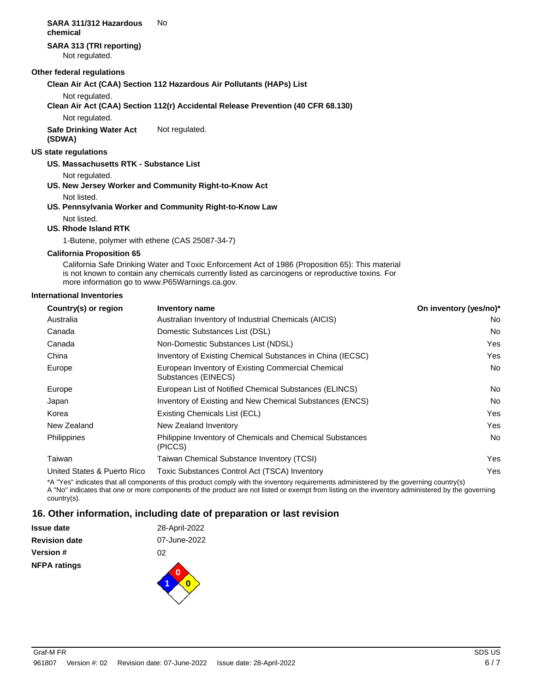#### **SARA 311/312 Hazardous** No **chemical**

# **SARA 313 (TRI reporting)**

Not regulated.

#### **Other federal regulations**

#### **Clean Air Act (CAA) Section 112 Hazardous Air Pollutants (HAPs) List**

Not regulated.

#### **Clean Air Act (CAA) Section 112(r) Accidental Release Prevention (40 CFR 68.130)**

Not regulated.

**Safe Drinking Water Act** Not regulated.

**(SDWA)**

#### **US state regulations**

#### **US. Massachusetts RTK - Substance List**

Not regulated.

**US. New Jersey Worker and Community Right-to-Know Act**

Not listed.

# **US. Pennsylvania Worker and Community Right-to-Know Law**

#### Not listed. **US. Rhode Island RTK**

1-Butene, polymer with ethene (CAS 25087-34-7)

#### **California Proposition 65**

California Safe Drinking Water and Toxic Enforcement Act of 1986 (Proposition 65): This material is not known to contain any chemicals currently listed as carcinogens or reproductive toxins. For more information go to www.P65Warnings.ca.gov.

#### **International Inventories**

| Country(s) or region        | Inventory name                                                            | On inventory (yes/no)* |
|-----------------------------|---------------------------------------------------------------------------|------------------------|
| Australia                   | Australian Inventory of Industrial Chemicals (AICIS)                      | No.                    |
| Canada                      | Domestic Substances List (DSL)                                            | No.                    |
| Canada                      | Non-Domestic Substances List (NDSL)                                       | <b>Yes</b>             |
| China                       | Inventory of Existing Chemical Substances in China (IECSC)                | Yes                    |
| Europe                      | European Inventory of Existing Commercial Chemical<br>Substances (EINECS) | No.                    |
| Europe                      | European List of Notified Chemical Substances (ELINCS)                    | No.                    |
| Japan                       | Inventory of Existing and New Chemical Substances (ENCS)                  | No.                    |
| Korea                       | Existing Chemicals List (ECL)                                             | Yes                    |
| New Zealand                 | New Zealand Inventory                                                     | Yes                    |
| <b>Philippines</b>          | Philippine Inventory of Chemicals and Chemical Substances<br>(PICCS)      | No.                    |
| Taiwan                      | Taiwan Chemical Substance Inventory (TCSI)                                | Yes                    |
| United States & Puerto Rico | Toxic Substances Control Act (TSCA) Inventory                             | Yes                    |
|                             |                                                                           |                        |

\*A "Yes" indicates that all components of this product comply with the inventory requirements administered by the governing country(s) A "No" indicates that one or more components of the product are not listed or exempt from listing on the inventory administered by the governing country(s).

# **16. Other information, including date of preparation or last revision**

| <b>NFPA ratings</b>  |               |
|----------------------|---------------|
| Version #            | 02            |
| <b>Revision date</b> | 07-June-2022  |
| Issue date           | 28-April-2022 |